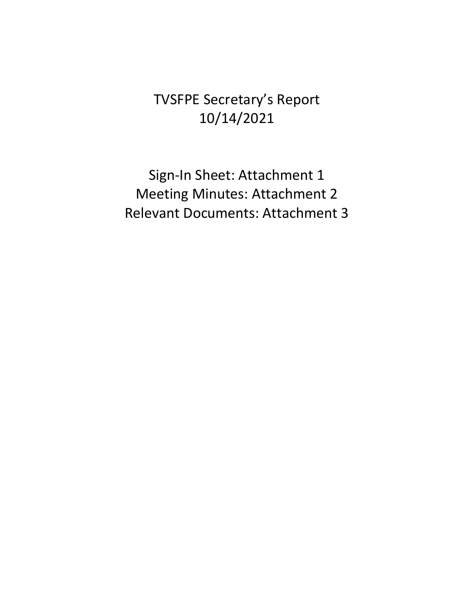TVSFPE Secretary's Report 10/14/2021

Sign-In Sheet: Attachment 1 Meeting Minutes: Attachment 2 Relevant Documents: Attachment 3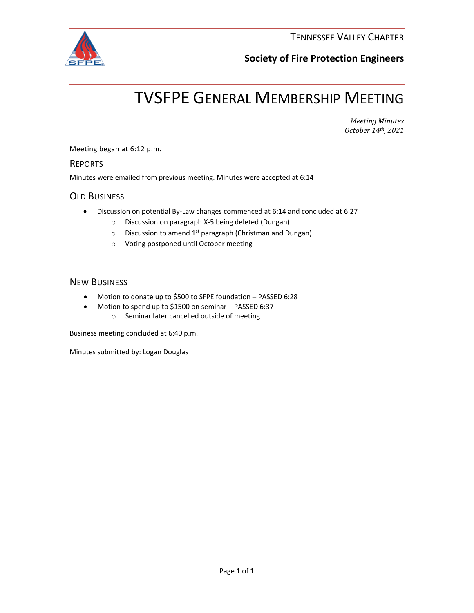

## **Society of Fire Protection Engineers**

# TVSFPE GENERAL MEMBERSHIP MEETING

*Meeting Minutes October 14th, 2021*

Meeting began at 6:12 p.m.

## **REPORTS**

Minutes were emailed from previous meeting. Minutes were accepted at 6:14

## OLD BUSINESS

- Discussion on potential By-Law changes commenced at 6:14 and concluded at 6:27
	- o Discussion on paragraph X-5 being deleted (Dungan)
	- $\circ$  Discussion to amend 1<sup>st</sup> paragraph (Christman and Dungan)
	- o Voting postponed until October meeting

## NEW BUSINESS

- Motion to donate up to \$500 to SFPE foundation PASSED 6:28
- Motion to spend up to \$1500 on seminar PASSED 6:37 o Seminar later cancelled outside of meeting

Business meeting concluded at 6:40 p.m.

Minutes submitted by: Logan Douglas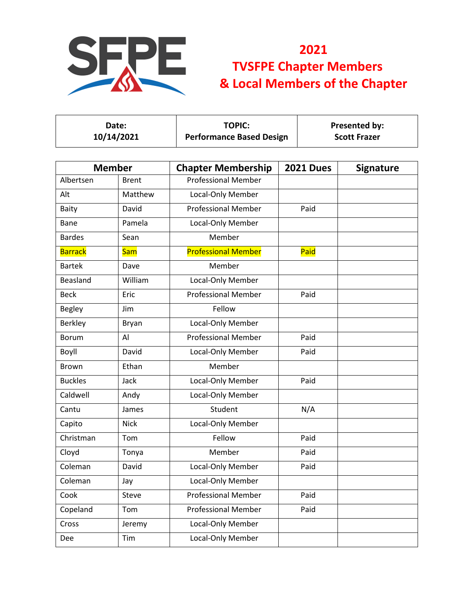

| Date:<br>10/14/2021       |               | <b>TOPIC:</b><br><b>Performance Based Design</b> |                  | Presented by:<br><b>Scott Frazer</b> |  |
|---------------------------|---------------|--------------------------------------------------|------------------|--------------------------------------|--|
|                           | <b>Member</b> | <b>Chapter Membership</b>                        | <b>2021 Dues</b> | <b>Signature</b>                     |  |
| Albertsen<br><b>Brent</b> |               | <b>Professional Member</b>                       |                  |                                      |  |
| Alt                       | Matthew       | Local-Only Member                                |                  |                                      |  |
| Baity                     | David         | <b>Professional Member</b>                       | Paid             |                                      |  |
| Bane                      | Pamela        | Local-Only Member                                |                  |                                      |  |
| <b>Bardes</b>             | Sean          | Member                                           |                  |                                      |  |
| <b>Barrack</b>            | <b>Sam</b>    | <b>Professional Member</b>                       | Paid             |                                      |  |
| <b>Bartek</b>             | Dave          | Member                                           |                  |                                      |  |
| Beasland                  | William       | Local-Only Member                                |                  |                                      |  |
| <b>Beck</b>               | Eric          | <b>Professional Member</b>                       | Paid             |                                      |  |
| <b>Begley</b>             | Jim           | Fellow                                           |                  |                                      |  |
| <b>Berkley</b>            | Bryan         | Local-Only Member                                |                  |                                      |  |
| <b>Borum</b>              | Al            | <b>Professional Member</b>                       | Paid             |                                      |  |
| Boyll                     | David         | Local-Only Member                                | Paid             |                                      |  |
| <b>Brown</b>              | Ethan         | Member                                           |                  |                                      |  |
| <b>Buckles</b>            | Jack          | Local-Only Member                                | Paid             |                                      |  |
| Caldwell                  | Andy          | Local-Only Member                                |                  |                                      |  |
| Cantu                     | James         | Student                                          | N/A              |                                      |  |
| Capito                    | <b>Nick</b>   | Local-Only Member                                |                  |                                      |  |
| Christman                 | Tom           | Fellow                                           | Paid             |                                      |  |
| Cloyd                     | Tonya         | Member                                           | Paid             |                                      |  |
| Coleman                   | David         | Local-Only Member                                | Paid             |                                      |  |
| Coleman                   | Jay           | Local-Only Member                                |                  |                                      |  |
| Cook                      | Steve         | <b>Professional Member</b>                       | Paid             |                                      |  |
| Copeland                  | Tom           | <b>Professional Member</b>                       | Paid             |                                      |  |
| Cross                     | Jeremy        | Local-Only Member                                |                  |                                      |  |
| Dee                       | Tim           | Local-Only Member                                |                  |                                      |  |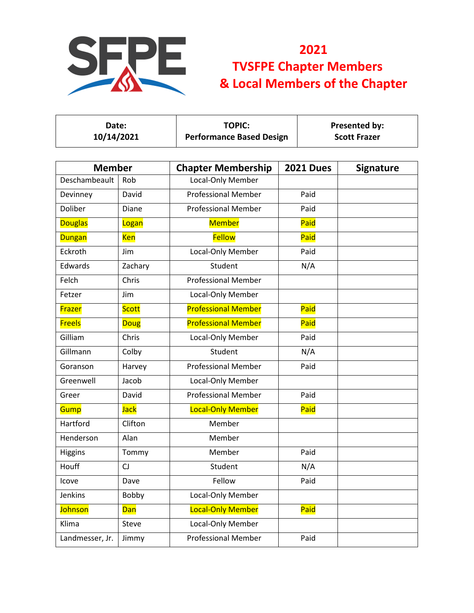

| Date:<br>10/14/2021 |              | <b>TOPIC:</b><br><b>Performance Based Design</b> |      |                  | Presented by:<br><b>Scott Frazer</b> |
|---------------------|--------------|--------------------------------------------------|------|------------------|--------------------------------------|
| <b>Member</b>       |              | <b>Chapter Membership</b>                        |      | <b>2021 Dues</b> | <b>Signature</b>                     |
| Deschambeault       | Rob          | Local-Only Member                                |      |                  |                                      |
| Devinney            | David        | <b>Professional Member</b>                       |      | Paid             |                                      |
| Doliber             | Diane        | <b>Professional Member</b>                       |      | Paid             |                                      |
| <b>Douglas</b>      | Logan        | <b>Member</b>                                    |      | Paid             |                                      |
| <b>Dungan</b>       | <b>Ken</b>   | <b>Fellow</b>                                    |      | Paid             |                                      |
| Eckroth             | Jim          | Local-Only Member                                |      | Paid             |                                      |
| Edwards             | Zachary      | Student                                          |      | N/A              |                                      |
| Felch               | Chris        | <b>Professional Member</b>                       |      |                  |                                      |
| Fetzer              | Jim          | Local-Only Member                                |      |                  |                                      |
| Frazer              | <b>Scott</b> | <b>Professional Member</b>                       |      | Paid             |                                      |
| <b>Freels</b>       | <b>Doug</b>  | <b>Professional Member</b>                       |      | Paid             |                                      |
| Gilliam             | Chris        | Local-Only Member                                |      | Paid             |                                      |
| Gillmann            | Colby        | Student                                          |      | N/A              |                                      |
| Goranson            | Harvey       | <b>Professional Member</b>                       |      | Paid             |                                      |
| Greenwell           | Jacob        | Local-Only Member                                |      |                  |                                      |
| Greer               | David        | <b>Professional Member</b>                       |      | Paid             |                                      |
| Gump                | <b>Jack</b>  | <b>Local-Only Member</b>                         |      | Paid             |                                      |
| Hartford            | Clifton      | Member                                           |      |                  |                                      |
| Henderson           | Alan         | Member                                           |      |                  |                                      |
| Higgins             | Tommy        | Member                                           |      | Paid             |                                      |
| Houff               | CJ           | Student                                          |      | N/A              |                                      |
| Icove               | Dave         | Fellow                                           | Paid |                  |                                      |
| Jenkins             | Bobby        | Local-Only Member                                |      |                  |                                      |
| <b>Johnson</b>      | <b>Dan</b>   | Local-Only Member                                |      | Paid             |                                      |
| Klima               | Steve        | Local-Only Member                                |      |                  |                                      |
| Landmesser, Jr.     | Jimmy        | <b>Professional Member</b>                       |      | Paid             |                                      |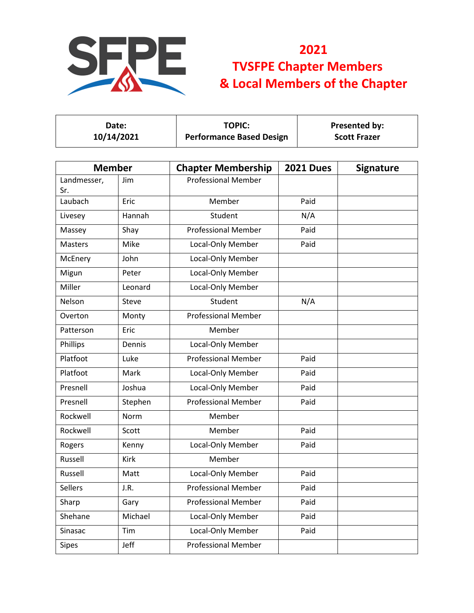

| Date:      | <b>TOPIC:</b>                   | <b>Presented by:</b> |
|------------|---------------------------------|----------------------|
| 10/14/2021 | <b>Performance Based Design</b> | <b>Scott Frazer</b>  |

| <b>Member</b>      |         | <b>Chapter Membership</b>  | <b>2021 Dues</b> | <b>Signature</b> |
|--------------------|---------|----------------------------|------------------|------------------|
| Landmesser,<br>Sr. | Jim     | <b>Professional Member</b> |                  |                  |
| Laubach            | Eric    | Member                     | Paid             |                  |
| Livesey            | Hannah  | Student                    | N/A              |                  |
| Massey             | Shay    | <b>Professional Member</b> | Paid             |                  |
| <b>Masters</b>     | Mike    | Local-Only Member          | Paid             |                  |
| McEnery            | John    | Local-Only Member          |                  |                  |
| Migun              | Peter   | Local-Only Member          |                  |                  |
| Miller             | Leonard | Local-Only Member          |                  |                  |
| Nelson             | Steve   | Student                    | N/A              |                  |
| Overton            | Monty   | <b>Professional Member</b> |                  |                  |
| Patterson          | Eric    | Member                     |                  |                  |
| Phillips           | Dennis  | Local-Only Member          |                  |                  |
| Platfoot           | Luke    | <b>Professional Member</b> | Paid             |                  |
| Platfoot           | Mark    | Local-Only Member          | Paid             |                  |
| Presnell           | Joshua  | Local-Only Member          | Paid             |                  |
| Presnell           | Stephen | <b>Professional Member</b> | Paid             |                  |
| Rockwell           | Norm    | Member                     |                  |                  |
| Rockwell           | Scott   | Member                     | Paid             |                  |
| Rogers             | Kenny   | Local-Only Member          | Paid             |                  |
| Russell            | Kirk    | Member                     |                  |                  |
| Russell            | Matt    | Local-Only Member          | Paid             |                  |
| <b>Sellers</b>     | J.R.    | <b>Professional Member</b> | Paid             |                  |
| Sharp              | Gary    | <b>Professional Member</b> | Paid             |                  |
| Shehane            | Michael | Local-Only Member          | Paid             |                  |
| Sinasac            | Tim     | Local-Only Member          | Paid             |                  |
| <b>Sipes</b>       | Jeff    | <b>Professional Member</b> |                  |                  |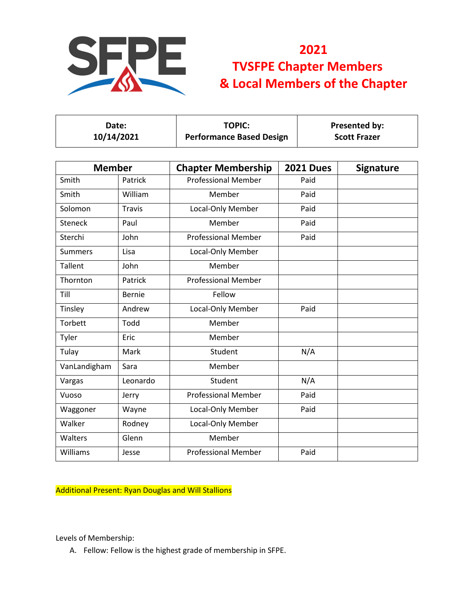

| <b>Member</b>  |               | <b>Chapter Membership</b>  | <b>2021 Dues</b> | <b>Signature</b> |  |
|----------------|---------------|----------------------------|------------------|------------------|--|
| Smith          | Patrick       | <b>Professional Member</b> | Paid             |                  |  |
| Smith          | William       | Member                     | Paid             |                  |  |
| Solomon        | <b>Travis</b> | Local-Only Member          | Paid             |                  |  |
| Steneck        | Paul          | Member                     | Paid             |                  |  |
| Sterchi        | John          | <b>Professional Member</b> | Paid             |                  |  |
| <b>Summers</b> | Lisa          | Local-Only Member          |                  |                  |  |
| Tallent        | John          | Member                     |                  |                  |  |
| Thornton       | Patrick       | <b>Professional Member</b> |                  |                  |  |
| Till           | <b>Bernie</b> | Fellow                     |                  |                  |  |
| Tinsley        | Andrew        | Local-Only Member          | Paid             |                  |  |
| Torbett        | Todd          | Member                     |                  |                  |  |
| Tyler          | Eric          | Member                     |                  |                  |  |
| Tulay          | Mark          | Student                    | N/A              |                  |  |
| VanLandigham   | Sara          | Member                     |                  |                  |  |
| Vargas         | Leonardo      | Student                    | N/A              |                  |  |
| Vuoso          | Jerry         | <b>Professional Member</b> | Paid             |                  |  |
| Waggoner       | Wayne         | Local-Only Member          | Paid             |                  |  |
| Walker         | Rodney        | Local-Only Member          |                  |                  |  |
| Walters        | Glenn         | Member                     |                  |                  |  |
| Williams       | Jesse         | <b>Professional Member</b> | Paid             |                  |  |

Additional Present: Ryan Douglas and Will Stallions

Levels of Membership:

A. Fellow: Fellow is the highest grade of membership in SFPE.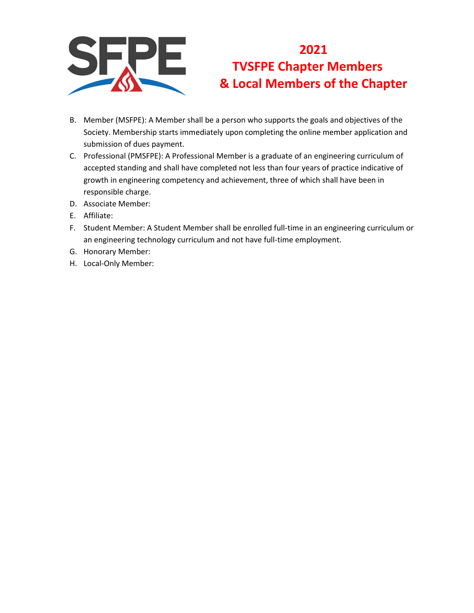

- B. Member (MSFPE): A Member shall be a person who supports the goals and objectives of the Society. Membership starts immediately upon completing the online member application and submission of dues payment.
- C. Professional (PMSFPE): A Professional Member is a graduate of an engineering curriculum of accepted standing and shall have completed not less than four years of practice indicative of growth in engineering competency and achievement, three of which shall have been in responsible charge.
- D. Associate Member:
- E. Affiliate:
- F. Student Member: A Student Member shall be enrolled full-time in an engineering curriculum or an engineering technology curriculum and not have full-time employment.
- G. Honorary Member:
- H. Local-Only Member: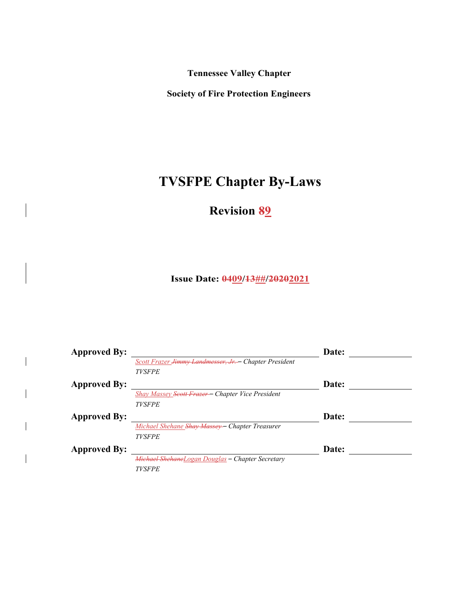**Tennessee Valley Chapter** 

**Society of Fire Protection Engineers**

# **TVSFPE Chapter By-Laws**

**Revision 89**

**Issue Date: 0409/13##/20202021**

| <b>Approved By:</b> |                                                                   | Date: |  |
|---------------------|-------------------------------------------------------------------|-------|--|
|                     | Scott Frazer <del>Jimmy Landmesser, Jr. -</del> Chapter President |       |  |
|                     | <b>TVSFPE</b>                                                     |       |  |
| <b>Approved By:</b> |                                                                   | Date: |  |
|                     | Shay Massey Scott Frazer - Chapter Vice President                 |       |  |
|                     | <b>TVSFPE</b>                                                     |       |  |
| <b>Approved By:</b> |                                                                   | Date: |  |
|                     | Michael Shehane <del>Shay Massey -</del> Chapter Treasurer        |       |  |
|                     | <b>TVSFPE</b>                                                     |       |  |
| <b>Approved By:</b> |                                                                   | Date: |  |
|                     | Michael ShehaneLogan Douglas - Chapter Secretary                  |       |  |
|                     | <b>TVSFPE</b>                                                     |       |  |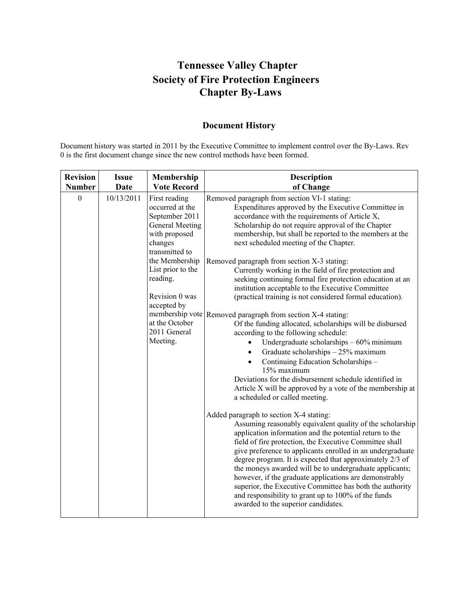# **Tennessee Valley Chapter Society of Fire Protection Engineers Chapter By-Laws**

## **Document History**

Document history was started in 2011 by the Executive Committee to implement control over the By-Laws. Rev 0 is the first document change since the new control methods have been formed.

| <b>Revision</b> | <b>Issue</b> | Membership                                                                                                                                                                                                                                                   | <b>Description</b>                                                                                                                                                                                                                                                                                                                                                                                                                                                                                                                                                                                                                                                                                                                                                                                                                                                                                                                                                                                                                                                                                                                                                                                                                                                                                                                                                                                                                                                                                                                                                                                                                                                                                                                                          |
|-----------------|--------------|--------------------------------------------------------------------------------------------------------------------------------------------------------------------------------------------------------------------------------------------------------------|-------------------------------------------------------------------------------------------------------------------------------------------------------------------------------------------------------------------------------------------------------------------------------------------------------------------------------------------------------------------------------------------------------------------------------------------------------------------------------------------------------------------------------------------------------------------------------------------------------------------------------------------------------------------------------------------------------------------------------------------------------------------------------------------------------------------------------------------------------------------------------------------------------------------------------------------------------------------------------------------------------------------------------------------------------------------------------------------------------------------------------------------------------------------------------------------------------------------------------------------------------------------------------------------------------------------------------------------------------------------------------------------------------------------------------------------------------------------------------------------------------------------------------------------------------------------------------------------------------------------------------------------------------------------------------------------------------------------------------------------------------------|
| <b>Number</b>   | <b>Date</b>  | <b>Vote Record</b>                                                                                                                                                                                                                                           | of Change                                                                                                                                                                                                                                                                                                                                                                                                                                                                                                                                                                                                                                                                                                                                                                                                                                                                                                                                                                                                                                                                                                                                                                                                                                                                                                                                                                                                                                                                                                                                                                                                                                                                                                                                                   |
| $\mathbf{0}$    | 10/13/2011   | First reading<br>occurred at the<br>September 2011<br><b>General Meeting</b><br>with proposed<br>changes<br>transmitted to<br>the Membership<br>List prior to the<br>reading.<br>Revision 0 was<br>accepted by<br>at the October<br>2011 General<br>Meeting. | Removed paragraph from section VI-1 stating:<br>Expenditures approved by the Executive Committee in<br>accordance with the requirements of Article X,<br>Scholarship do not require approval of the Chapter<br>membership, but shall be reported to the members at the<br>next scheduled meeting of the Chapter.<br>Removed paragraph from section X-3 stating:<br>Currently working in the field of fire protection and<br>seeking continuing formal fire protection education at an<br>institution acceptable to the Executive Committee<br>(practical training is not considered formal education).<br>membership vote Removed paragraph from section X-4 stating:<br>Of the funding allocated, scholarships will be disbursed<br>according to the following schedule:<br>Undergraduate scholarships $-60\%$ minimum<br>$\bullet$<br>Graduate scholarships - 25% maximum<br>$\bullet$<br>Continuing Education Scholarships -<br>$\bullet$<br>15% maximum<br>Deviations for the disbursement schedule identified in<br>Article X will be approved by a vote of the membership at<br>a scheduled or called meeting.<br>Added paragraph to section X-4 stating:<br>Assuming reasonably equivalent quality of the scholarship<br>application information and the potential return to the<br>field of fire protection, the Executive Committee shall<br>give preference to applicants enrolled in an undergraduate<br>degree program. It is expected that approximately 2/3 of<br>the moneys awarded will be to undergraduate applicants;<br>however, if the graduate applications are demonstrably<br>superior, the Executive Committee has both the authority<br>and responsibility to grant up to 100% of the funds<br>awarded to the superior candidates. |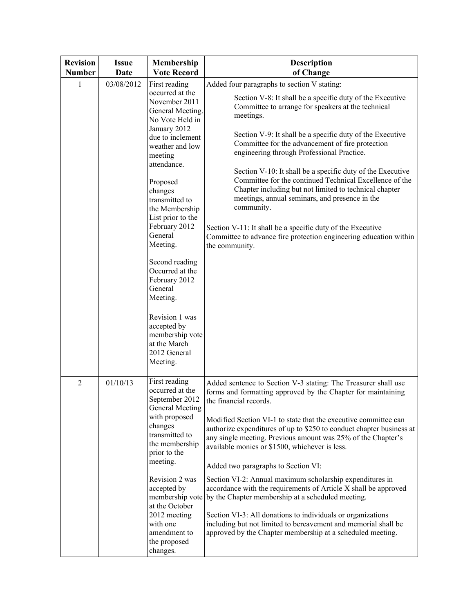| <b>Revision</b><br><b>Number</b> | <b>Issue</b><br><b>Date</b> | Membership<br><b>Vote Record</b>                                                                                                                          | <b>Description</b><br>of Change                                                                                                                                                                                                                                                                                                                                                                                       |
|----------------------------------|-----------------------------|-----------------------------------------------------------------------------------------------------------------------------------------------------------|-----------------------------------------------------------------------------------------------------------------------------------------------------------------------------------------------------------------------------------------------------------------------------------------------------------------------------------------------------------------------------------------------------------------------|
| 1                                | 03/08/2012                  | First reading                                                                                                                                             | Added four paragraphs to section V stating:                                                                                                                                                                                                                                                                                                                                                                           |
|                                  |                             | occurred at the<br>November 2011<br>General Meeting.<br>No Vote Held in                                                                                   | Section V-8: It shall be a specific duty of the Executive<br>Committee to arrange for speakers at the technical<br>meetings.                                                                                                                                                                                                                                                                                          |
|                                  |                             | January 2012<br>due to inclement<br>weather and low<br>meeting                                                                                            | Section V-9: It shall be a specific duty of the Executive<br>Committee for the advancement of fire protection<br>engineering through Professional Practice.                                                                                                                                                                                                                                                           |
|                                  |                             | attendance.<br>Proposed<br>changes<br>transmitted to<br>the Membership<br>List prior to the<br>February 2012<br>General                                   | Section V-10: It shall be a specific duty of the Executive<br>Committee for the continued Technical Excellence of the<br>Chapter including but not limited to technical chapter<br>meetings, annual seminars, and presence in the<br>community.<br>Section V-11: It shall be a specific duty of the Executive<br>Committee to advance fire protection engineering education within                                    |
|                                  |                             | Meeting.<br>Second reading<br>Occurred at the<br>February 2012<br>General<br>Meeting.<br>Revision 1 was<br>accepted by<br>membership vote<br>at the March | the community.                                                                                                                                                                                                                                                                                                                                                                                                        |
|                                  |                             | 2012 General<br>Meeting.                                                                                                                                  |                                                                                                                                                                                                                                                                                                                                                                                                                       |
| $\overline{2}$                   | 01/10/13                    | First reading<br>occurred at the<br>September 2012<br>General Meeting<br>with proposed<br>changes<br>transmitted to<br>the membership<br>prior to the     | Added sentence to Section V-3 stating: The Treasurer shall use<br>forms and formatting approved by the Chapter for maintaining<br>the financial records.<br>Modified Section VI-1 to state that the executive committee can<br>authorize expenditures of up to \$250 to conduct chapter business at<br>any single meeting. Previous amount was 25% of the Chapter's<br>available monies or \$1500, whichever is less. |
|                                  |                             | meeting.                                                                                                                                                  | Added two paragraphs to Section VI:                                                                                                                                                                                                                                                                                                                                                                                   |
|                                  |                             | Revision 2 was<br>accepted by<br>membership vote<br>at the October                                                                                        | Section VI-2: Annual maximum scholarship expenditures in<br>accordance with the requirements of Article X shall be approved<br>by the Chapter membership at a scheduled meeting.                                                                                                                                                                                                                                      |
|                                  |                             | 2012 meeting<br>with one<br>amendment to<br>the proposed<br>changes.                                                                                      | Section VI-3: All donations to individuals or organizations<br>including but not limited to bereavement and memorial shall be<br>approved by the Chapter membership at a scheduled meeting.                                                                                                                                                                                                                           |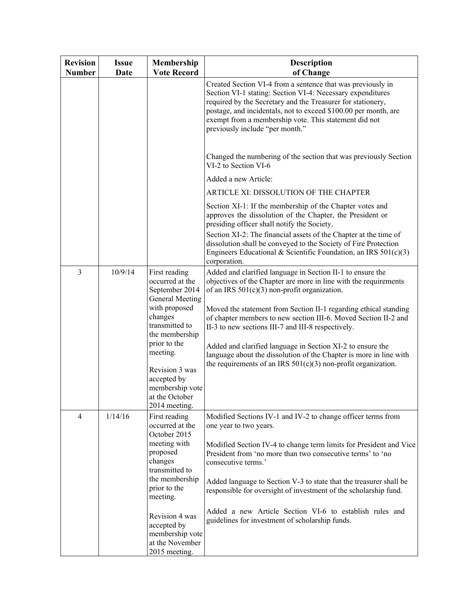| <b>Revision</b><br><b>Number</b> | <b>Issue</b><br><b>Date</b> | Membership<br><b>Vote Record</b>                                                                                                                                                                                                               | <b>Description</b><br>of Change                                                                                                                                                                                                                                                                                                                                                                                                                                                                                                                                                      |
|----------------------------------|-----------------------------|------------------------------------------------------------------------------------------------------------------------------------------------------------------------------------------------------------------------------------------------|--------------------------------------------------------------------------------------------------------------------------------------------------------------------------------------------------------------------------------------------------------------------------------------------------------------------------------------------------------------------------------------------------------------------------------------------------------------------------------------------------------------------------------------------------------------------------------------|
|                                  |                             |                                                                                                                                                                                                                                                | Created Section VI-4 from a sentence that was previously in<br>Section VI-1 stating: Section VI-4: Necessary expenditures<br>required by the Secretary and the Treasurer for stationery,<br>postage, and incidentals, not to exceed \$100.00 per month, are<br>exempt from a membership vote. This statement did not<br>previously include "per month."                                                                                                                                                                                                                              |
|                                  |                             |                                                                                                                                                                                                                                                | Changed the numbering of the section that was previously Section<br>VI-2 to Section VI-6                                                                                                                                                                                                                                                                                                                                                                                                                                                                                             |
|                                  |                             |                                                                                                                                                                                                                                                | Added a new Article:                                                                                                                                                                                                                                                                                                                                                                                                                                                                                                                                                                 |
|                                  |                             |                                                                                                                                                                                                                                                | ARTICLE XI: DISSOLUTION OF THE CHAPTER                                                                                                                                                                                                                                                                                                                                                                                                                                                                                                                                               |
|                                  |                             |                                                                                                                                                                                                                                                | Section XI-1: If the membership of the Chapter votes and<br>approves the dissolution of the Chapter, the President or<br>presiding officer shall notify the Society.<br>Section XI-2: The financial assets of the Chapter at the time of<br>dissolution shall be conveyed to the Society of Fire Protection<br>Engineers Educational & Scientific Foundation, an IRS $501(c)(3)$                                                                                                                                                                                                     |
|                                  |                             |                                                                                                                                                                                                                                                | corporation.                                                                                                                                                                                                                                                                                                                                                                                                                                                                                                                                                                         |
| 3                                | 10/9/14                     | First reading<br>occurred at the<br>September 2014<br><b>General Meeting</b><br>with proposed<br>changes<br>transmitted to<br>the membership<br>prior to the<br>meeting.<br>Revision 3 was<br>accepted by<br>membership vote<br>at the October | Added and clarified language in Section II-1 to ensure the<br>objectives of the Chapter are more in line with the requirements<br>of an IRS $501(c)(3)$ non-profit organization.<br>Moved the statement from Section II-1 regarding ethical standing<br>of chapter members to new section III-6. Moved Section II-2 and<br>II-3 to new sections III-7 and III-8 respectively.<br>Added and clarified language in Section XI-2 to ensure the<br>language about the dissolution of the Chapter is more in line with<br>the requirements of an IRS $501(c)(3)$ non-profit organization. |
| $\overline{4}$                   | 1/14/16                     | 2014 meeting.<br>First reading<br>occurred at the<br>October 2015<br>meeting with<br>proposed                                                                                                                                                  | Modified Sections IV-1 and IV-2 to change officer terms from<br>one year to two years.<br>Modified Section IV-4 to change term limits for President and Vice<br>President from 'no more than two consecutive terms' to 'no                                                                                                                                                                                                                                                                                                                                                           |
|                                  |                             | changes<br>transmitted to<br>the membership<br>prior to the<br>meeting.                                                                                                                                                                        | consecutive terms.'<br>Added language to Section V-3 to state that the treasurer shall be<br>responsible for oversight of investment of the scholarship fund.                                                                                                                                                                                                                                                                                                                                                                                                                        |
|                                  |                             | Revision 4 was<br>accepted by<br>membership vote<br>at the November<br>2015 meeting.                                                                                                                                                           | Added a new Article Section VI-6 to establish rules and<br>guidelines for investment of scholarship funds.                                                                                                                                                                                                                                                                                                                                                                                                                                                                           |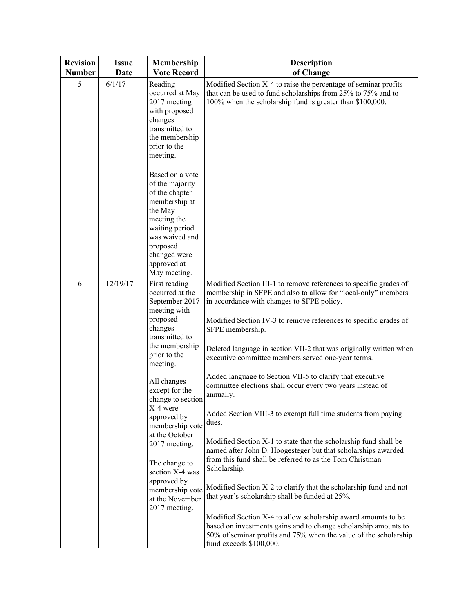| <b>Revision</b><br><b>Number</b> | <b>Issue</b><br>Date | Membership<br><b>Vote Record</b>                                                                                                                                                                                                                                                                                                                                                                           | <b>Description</b><br>of Change                                                                                                                                                                                                                                                                                                                                                                                                                                                                                                                                                                                                                                                                                                                                                                                                                                                                                                                                                                                                                                                                     |
|----------------------------------|----------------------|------------------------------------------------------------------------------------------------------------------------------------------------------------------------------------------------------------------------------------------------------------------------------------------------------------------------------------------------------------------------------------------------------------|-----------------------------------------------------------------------------------------------------------------------------------------------------------------------------------------------------------------------------------------------------------------------------------------------------------------------------------------------------------------------------------------------------------------------------------------------------------------------------------------------------------------------------------------------------------------------------------------------------------------------------------------------------------------------------------------------------------------------------------------------------------------------------------------------------------------------------------------------------------------------------------------------------------------------------------------------------------------------------------------------------------------------------------------------------------------------------------------------------|
| 5                                | 6/1/17               | Reading<br>occurred at May<br>2017 meeting<br>with proposed<br>changes<br>transmitted to<br>the membership<br>prior to the<br>meeting.                                                                                                                                                                                                                                                                     | Modified Section X-4 to raise the percentage of seminar profits<br>that can be used to fund scholarships from 25% to 75% and to<br>100% when the scholarship fund is greater than \$100,000.                                                                                                                                                                                                                                                                                                                                                                                                                                                                                                                                                                                                                                                                                                                                                                                                                                                                                                        |
|                                  |                      | Based on a vote<br>of the majority<br>of the chapter<br>membership at<br>the May<br>meeting the<br>waiting period<br>was waived and<br>proposed<br>changed were<br>approved at<br>May meeting.                                                                                                                                                                                                             |                                                                                                                                                                                                                                                                                                                                                                                                                                                                                                                                                                                                                                                                                                                                                                                                                                                                                                                                                                                                                                                                                                     |
| 6                                | 12/19/17             | First reading<br>occurred at the<br>September 2017<br>meeting with<br>proposed<br>changes<br>transmitted to<br>the membership<br>prior to the<br>meeting.<br>All changes<br>except for the<br>change to section<br>X-4 were<br>approved by<br>membership vote<br>at the October<br>2017 meeting.<br>The change to<br>section X-4 was<br>approved by<br>membership vote<br>at the November<br>2017 meeting. | Modified Section III-1 to remove references to specific grades of<br>membership in SFPE and also to allow for "local-only" members<br>in accordance with changes to SFPE policy.<br>Modified Section IV-3 to remove references to specific grades of<br>SFPE membership.<br>Deleted language in section VII-2 that was originally written when<br>executive committee members served one-year terms.<br>Added language to Section VII-5 to clarify that executive<br>committee elections shall occur every two years instead of<br>annually.<br>Added Section VIII-3 to exempt full time students from paying<br>dues.<br>Modified Section X-1 to state that the scholarship fund shall be<br>named after John D. Hoogesteger but that scholarships awarded<br>from this fund shall be referred to as the Tom Christman<br>Scholarship.<br>Modified Section X-2 to clarify that the scholarship fund and not<br>that year's scholarship shall be funded at 25%.<br>Modified Section X-4 to allow scholarship award amounts to be<br>based on investments gains and to change scholarship amounts to |
|                                  |                      |                                                                                                                                                                                                                                                                                                                                                                                                            | 50% of seminar profits and 75% when the value of the scholarship<br>fund exceeds \$100,000.                                                                                                                                                                                                                                                                                                                                                                                                                                                                                                                                                                                                                                                                                                                                                                                                                                                                                                                                                                                                         |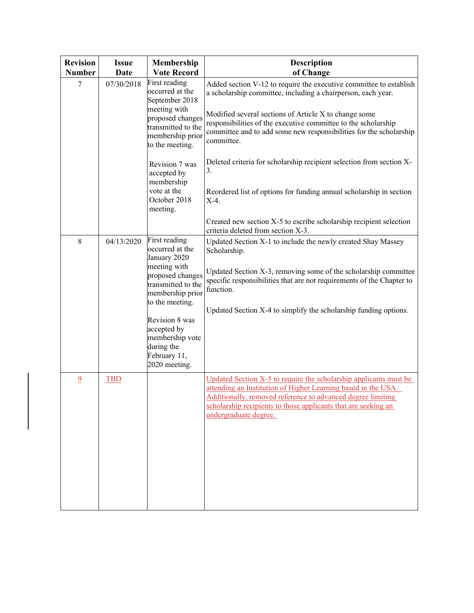| <b>Revision</b><br><b>Number</b> | <b>Issue</b><br>Date | Membership<br><b>Vote Record</b>                                                                                                                                                                                                                     | Description<br>of Change                                                                                                                                                                                                                                                                                                                          |
|----------------------------------|----------------------|------------------------------------------------------------------------------------------------------------------------------------------------------------------------------------------------------------------------------------------------------|---------------------------------------------------------------------------------------------------------------------------------------------------------------------------------------------------------------------------------------------------------------------------------------------------------------------------------------------------|
| 7                                | 07/30/2018           | First reading<br>occurred at the<br>September 2018<br>meeting with<br>proposed changes<br>transmitted to the<br>membership prior<br>to the meeting.                                                                                                  | Added section V-12 to require the executive committee to establish<br>a scholarship committee, including a chairperson, each year.<br>Modified several sections of Article X to change some<br>responsibilities of the executive committee to the scholarship<br>committee and to add some new responsibilities for the scholarship<br>committee. |
|                                  |                      | Revision 7 was<br>accepted by<br>membership<br>vote at the<br>October 2018<br>meeting.                                                                                                                                                               | Deleted criteria for scholarship recipient selection from section X-<br>3.<br>Reordered list of options for funding annual scholarship in section<br>$X-4$ .<br>Created new section X-5 to escribe scholarship recipient selection                                                                                                                |
| $\,8\,$                          | 04/13/2020           | First reading<br>occurred at the<br>January 2020<br>meeting with<br>proposed changes<br>transmitted to the<br>membership prior<br>to the meeting.<br>Revision 8 was<br>accepted by<br>membership vote<br>during the<br>February 11,<br>2020 meeting. | criteria deleted from section X-3.<br>Updated Section X-1 to include the newly created Shay Massey<br>Scholarship.<br>Updated Section X-3, removing some of the scholarship committee<br>specific responsibilities that are not requirements of the Chapter to<br>function.<br>Updated Section X-4 to simplify the scholarship funding options.   |
| $\overline{9}$                   | <b>TBD</b>           |                                                                                                                                                                                                                                                      | Updated Section X-5 to require the scholarship applicants must be<br>attending an Institution of Higher Learning based in the USA.<br>Additionally, removed reference to advanced degree limiting<br>scholarship recipients to those applicants that are seeking an<br>undergraduate degree.                                                      |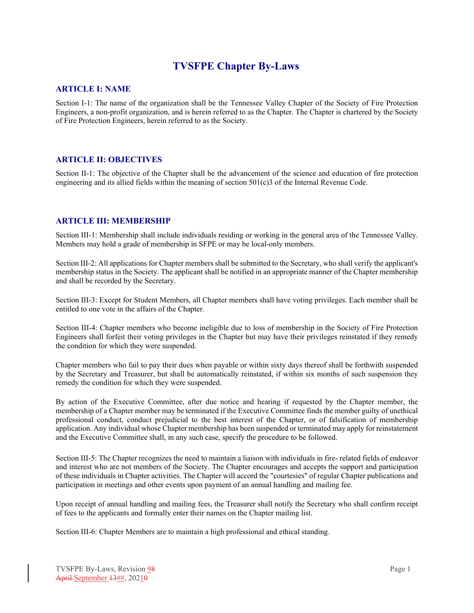## **TVSFPE Chapter By-Laws**

### **ARTICLE I: NAME**

Section I-1: The name of the organization shall be the Tennessee Valley Chapter of the Society of Fire Protection Engineers, a non-profit organization, and is herein referred to as the Chapter. The Chapter is chartered by the Society of Fire Protection Engineers, herein referred to as the Society.

### **ARTICLE II: OBJECTIVES**

Section II-1: The objective of the Chapter shall be the advancement of the science and education of fire protection engineering and its allied fields within the meaning of section 501(c)3 of the Internal Revenue Code.

### **ARTICLE III: MEMBERSHIP**

Section III-1: Membership shall include individuals residing or working in the general area of the Tennessee Valley. Members may hold a grade of membership in SFPE or may be local-only members.

Section III-2: All applications for Chapter members shall be submitted to the Secretary, who shall verify the applicant's membership status in the Society. The applicant shall be notified in an appropriate manner of the Chapter membership and shall be recorded by the Secretary.

Section III-3: Except for Student Members, all Chapter members shall have voting privileges. Each member shall be entitled to one vote in the affairs of the Chapter.

Section III-4: Chapter members who become ineligible due to loss of membership in the Society of Fire Protection Engineers shall forfeit their voting privileges in the Chapter but may have their privileges reinstated if they remedy the condition for which they were suspended.

Chapter members who fail to pay their dues when payable or within sixty days thereof shall be forthwith suspended by the Secretary and Treasurer, but shall be automatically reinstated, if within six months of such suspension they remedy the condition for which they were suspended.

By action of the Executive Committee, after due notice and hearing if requested by the Chapter member, the membership of a Chapter member may be terminated if the Executive Committee finds the member guilty of unethical professional conduct, conduct prejudicial to the best interest of the Chapter, or of falsification of membership application. Any individual whose Chapter membership has been suspended or terminated may apply for reinstatement and the Executive Committee shall, in any such case, specify the procedure to be followed.

Section III-5: The Chapter recognizes the need to maintain a liaison with individuals in fire- related fields of endeavor and interest who are not members of the Society. The Chapter encourages and accepts the support and participation of these individuals in Chapter activities. The Chapter will accord the "courtesies" of regular Chapter publications and participation in meetings and other events upon payment of an annual handling and mailing fee.

Upon receipt of annual handling and mailing fees, the Treasurer shall notify the Secretary who shall confirm receipt of fees to the applicants and formally enter their names on the Chapter mailing list.

Section III-6: Chapter Members are to maintain a high professional and ethical standing.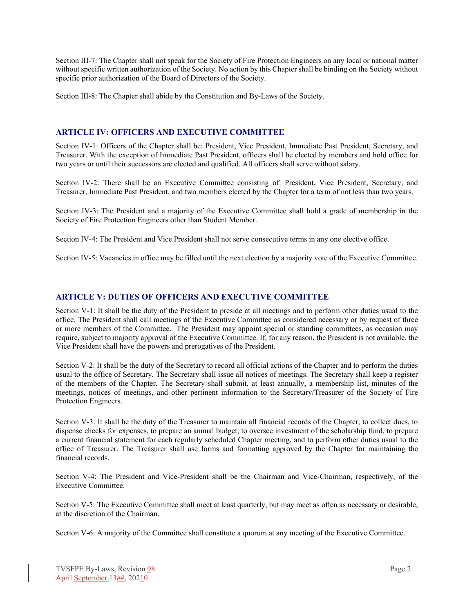Section III-7: The Chapter shall not speak for the Society of Fire Protection Engineers on any local or national matter without specific written authorization of the Society. No action by this Chapter shall be binding on the Society without specific prior authorization of the Board of Directors of the Society.

Section III-8: The Chapter shall abide by the Constitution and By-Laws of the Society.

## **ARTICLE IV: OFFICERS AND EXECUTIVE COMMITTEE**

Section IV-1: Officers of the Chapter shall be: President, Vice President, Immediate Past President, Secretary, and Treasurer. With the exception of Immediate Past President, officers shall be elected by members and hold office for two years or until their successors are elected and qualified. All officers shall serve without salary.

Section IV-2: There shall be an Executive Committee consisting of: President, Vice President, Secretary, and Treasurer, Immediate Past President, and two members elected by the Chapter for a term of not less than two years.

Section IV-3: The President and a majority of the Executive Committee shall hold a grade of membership in the Society of Fire Protection Engineers other than Student Member.

Section IV-4: The President and Vice President shall not serve consecutive terms in any one elective office.

Section IV-5: Vacancies in office may be filled until the next election by a majority vote of the Executive Committee.

### **ARTICLE V: DUTIES OF OFFICERS AND EXECUTIVE COMMITTEE**

Section V-1: It shall be the duty of the President to preside at all meetings and to perform other duties usual to the office. The President shall call meetings of the Executive Committee as considered necessary or by request of three or more members of the Committee. The President may appoint special or standing committees, as occasion may require, subject to majority approval of the Executive Committee. If, for any reason, the President is not available, the Vice President shall have the powers and prerogatives of the President.

Section V-2: It shall be the duty of the Secretary to record all official actions of the Chapter and to perform the duties usual to the office of Secretary. The Secretary shall issue all notices of meetings. The Secretary shall keep a register of the members of the Chapter. The Secretary shall submit, at least annually, a membership list, minutes of the meetings, notices of meetings, and other pertinent information to the Secretary/Treasurer of the Society of Fire Protection Engineers.

Section V-3: It shall be the duty of the Treasurer to maintain all financial records of the Chapter, to collect dues, to dispense checks for expenses, to prepare an annual budget, to oversee investment of the scholarship fund, to prepare a current financial statement for each regularly scheduled Chapter meeting, and to perform other duties usual to the office of Treasurer. The Treasurer shall use forms and formatting approved by the Chapter for maintaining the financial records.

Section V-4: The President and Vice-President shall be the Chairman and Vice-Chairman, respectively, of the Executive Committee.

Section V-5: The Executive Committee shall meet at least quarterly, but may meet as often as necessary or desirable, at the discretion of the Chairman.

Section V-6: A majority of the Committee shall constitute a quorum at any meeting of the Executive Committee.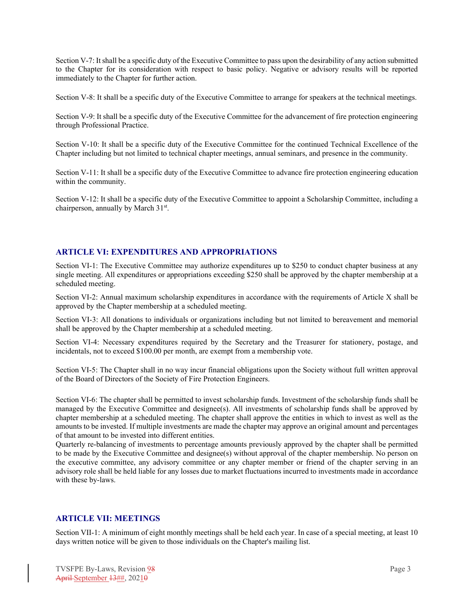Section V-7: It shall be a specific duty of the Executive Committee to pass upon the desirability of any action submitted to the Chapter for its consideration with respect to basic policy. Negative or advisory results will be reported immediately to the Chapter for further action.

Section V-8: It shall be a specific duty of the Executive Committee to arrange for speakers at the technical meetings.

Section V-9: It shall be a specific duty of the Executive Committee for the advancement of fire protection engineering through Professional Practice.

Section V-10: It shall be a specific duty of the Executive Committee for the continued Technical Excellence of the Chapter including but not limited to technical chapter meetings, annual seminars, and presence in the community.

Section V-11: It shall be a specific duty of the Executive Committee to advance fire protection engineering education within the community.

Section V-12: It shall be a specific duty of the Executive Committee to appoint a Scholarship Committee, including a chairperson, annually by March 31<sup>st</sup>.

### **ARTICLE VI: EXPENDITURES AND APPROPRIATIONS**

Section VI-1: The Executive Committee may authorize expenditures up to \$250 to conduct chapter business at any single meeting. All expenditures or appropriations exceeding \$250 shall be approved by the chapter membership at a scheduled meeting.

Section VI-2: Annual maximum scholarship expenditures in accordance with the requirements of Article X shall be approved by the Chapter membership at a scheduled meeting.

Section VI-3: All donations to individuals or organizations including but not limited to bereavement and memorial shall be approved by the Chapter membership at a scheduled meeting.

Section VI-4: Necessary expenditures required by the Secretary and the Treasurer for stationery, postage, and incidentals, not to exceed \$100.00 per month, are exempt from a membership vote.

Section VI-5: The Chapter shall in no way incur financial obligations upon the Society without full written approval of the Board of Directors of the Society of Fire Protection Engineers.

Section VI-6: The chapter shall be permitted to invest scholarship funds. Investment of the scholarship funds shall be managed by the Executive Committee and designee(s). All investments of scholarship funds shall be approved by chapter membership at a scheduled meeting. The chapter shall approve the entities in which to invest as well as the amounts to be invested. If multiple investments are made the chapter may approve an original amount and percentages of that amount to be invested into different entities.

Quarterly re-balancing of investments to percentage amounts previously approved by the chapter shall be permitted to be made by the Executive Committee and designee(s) without approval of the chapter membership. No person on the executive committee, any advisory committee or any chapter member or friend of the chapter serving in an advisory role shall be held liable for any losses due to market fluctuations incurred to investments made in accordance with these by-laws.

#### **ARTICLE VII: MEETINGS**

Section VII-1: A minimum of eight monthly meetings shall be held each year. In case of a special meeting, at least 10 days written notice will be given to those individuals on the Chapter's mailing list.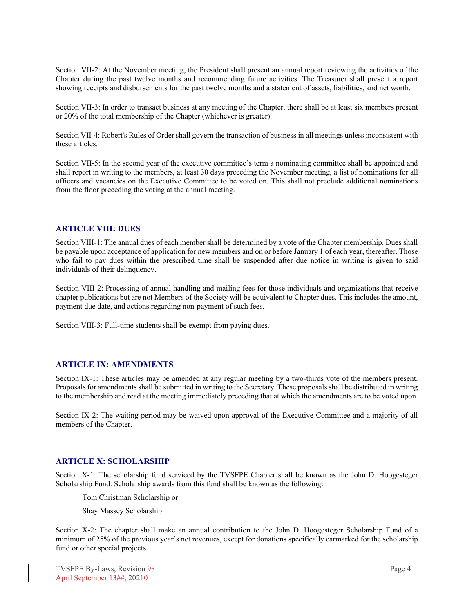Section VII-2: At the November meeting, the President shall present an annual report reviewing the activities of the Chapter during the past twelve months and recommending future activities. The Treasurer shall present a report showing receipts and disbursements for the past twelve months and a statement of assets, liabilities, and net worth.

Section VII-3: In order to transact business at any meeting of the Chapter, there shall be at least six members present or 20% of the total membership of the Chapter (whichever is greater).

Section VII-4: Robert's Rules of Order shall govern the transaction of business in all meetings unless inconsistent with these articles.

Section VII-5: In the second year of the executive committee's term a nominating committee shall be appointed and shall report in writing to the members, at least 30 days preceding the November meeting, a list of nominations for all officers and vacancies on the Executive Committee to be voted on. This shall not preclude additional nominations from the floor preceding the voting at the annual meeting.

### **ARTICLE VIII: DUES**

Section VIII-1: The annual dues of each member shall be determined by a vote of the Chapter membership. Dues shall be payable upon acceptance of application for new members and on or before January 1 of each year, thereafter. Those who fail to pay dues within the prescribed time shall be suspended after due notice in writing is given to said individuals of their delinquency.

Section VIII-2: Processing of annual handling and mailing fees for those individuals and organizations that receive chapter publications but are not Members of the Society will be equivalent to Chapter dues. This includes the amount, payment due date, and actions regarding non-payment of such fees.

Section VIII-3: Full-time students shall be exempt from paying dues.

#### **ARTICLE IX: AMENDMENTS**

Section IX-1: These articles may be amended at any regular meeting by a two-thirds vote of the members present. Proposals for amendments shall be submitted in writing to the Secretary. These proposals shall be distributed in writing to the membership and read at the meeting immediately preceding that at which the amendments are to be voted upon.

Section IX-2: The waiting period may be waived upon approval of the Executive Committee and a majority of all members of the Chapter.

#### **ARTICLE X: SCHOLARSHIP**

Section X-1: The scholarship fund serviced by the TVSFPE Chapter shall be known as the John D. Hoogesteger Scholarship Fund. Scholarship awards from this fund shall be known as the following:

Tom Christman Scholarship or

Shay Massey Scholarship

Section X-2: The chapter shall make an annual contribution to the John D. Hoogesteger Scholarship Fund of a minimum of 25% of the previous year's net revenues, except for donations specifically earmarked for the scholarship fund or other special projects.